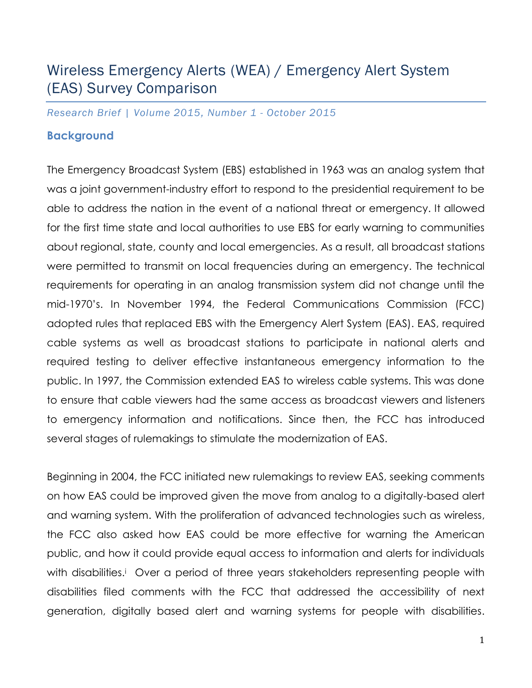# Wireless Emergency Alerts (WEA) / Emergency Alert System (EAS) Survey Comparison

*Research Brief | Volume 2015, Number 1 - October 2015*

# **Background**

The Emergency Broadcast System (EBS) established in 1963 was an analog system that was a joint government-industry effort to respond to the presidential requirement to be able to address the nation in the event of a national threat or emergency. It allowed for the first time state and local authorities to use EBS for early warning to communities about regional, state, county and local emergencies. As a result, all broadcast stations were permitted to transmit on local frequencies during an emergency. The technical requirements for operating in an analog transmission system did not change until the mid-1970's. In November 1994, the Federal Communications Commission (FCC) adopted rules that replaced EBS with the Emergency Alert System (EAS). EAS, required cable systems as well as broadcast stations to participate in national alerts and required testing to deliver effective instantaneous emergency information to the public. In 1997, the Commission extended EAS to wireless cable systems. This was done to ensure that cable viewers had the same access as broadcast viewers and listeners to emergency information and notifications. Since then, the FCC has introduced several stages of rulemakings to stimulate the modernization of EAS.

Beginning in 2004, the FCC initiated new rulemakings to review EAS, seeking comments on how EAS could be improved given the move from analog to a digitally-based alert and warning system. With the proliferation of advanced technologies such as wireless, the FCC also asked how EAS could be more effective for warning the American public, and how it could provide equal access to information and alerts for individuals with disabilities.<sup>i</sup> Over a period of three years stakeholders representing people with disabilities filed comments with the FCC that addressed the accessibility of next generation, digitally based alert and warning systems for people with disabilities.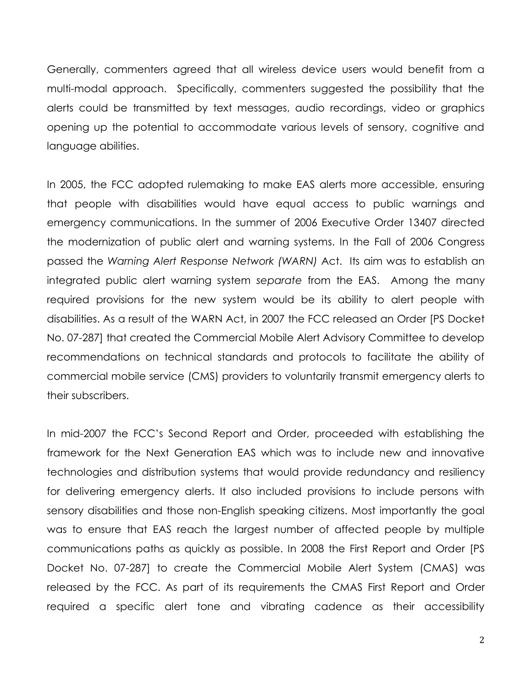Generally, commenters agreed that all wireless device users would benefit from a multi-modal approach. Specifically, commenters suggested the possibility that the alerts could be transmitted by text messages, audio recordings, video or graphics opening up the potential to accommodate various levels of sensory, cognitive and language abilities.

In 2005, the FCC adopted rulemaking to make EAS alerts more accessible, ensuring that people with disabilities would have equal access to public warnings and emergency communications. In the summer of 2006 Executive Order 13407 directed the modernization of public alert and warning systems. In the Fall of 2006 Congress passed the *Warning Alert Response Network (WARN)* Act. Its aim was to establish an integrated public alert warning system *separate* from the EAS.Among the many required provisions for the new system would be its ability to alert people with disabilities. As a result of the WARN Act, in 2007 the FCC released an Order [PS Docket No. 07-287] that created the Commercial Mobile Alert Advisory Committee to develop recommendations on technical standards and protocols to facilitate the ability of commercial mobile service (CMS) providers to voluntarily transmit emergency alerts to their subscribers.

In mid-2007 the FCC's Second Report and Order, proceeded with establishing the framework for the Next Generation EAS which was to include new and innovative technologies and distribution systems that would provide redundancy and resiliency for delivering emergency alerts. It also included provisions to include persons with sensory disabilities and those non-English speaking citizens. Most importantly the goal was to ensure that EAS reach the largest number of affected people by multiple communications paths as quickly as possible. In 2008 the First Report and Order [PS Docket No. 07-287] to create the Commercial Mobile Alert System (CMAS) was released by the FCC. As part of its requirements the CMAS First Report and Order required a specific alert tone and vibrating cadence as their accessibility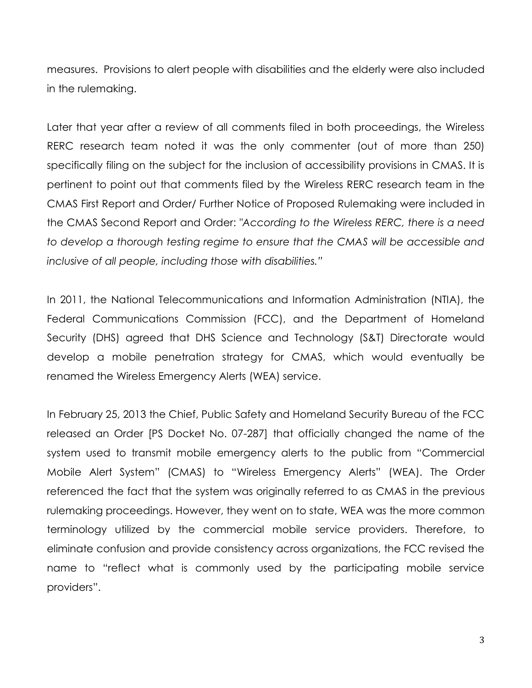measures. Provisions to alert people with disabilities and the elderly were also included in the rulemaking.

Later that year after a review of all comments filed in both proceedings, the Wireless RERC research team noted it was the only commenter (out of more than 250) specifically filing on the subject for the inclusion of accessibility provisions in CMAS. It is pertinent to point out that comments filed by the Wireless RERC research team in the CMAS First Report and Order/ Further Notice of Proposed Rulemaking were included in the CMAS Second Report and Order: *"According to the Wireless RERC, there is a need to develop a thorough testing regime to ensure that the CMAS will be accessible and inclusive of all people, including those with disabilities."*

In 2011, the National Telecommunications and Information Administration (NTIA), the Federal Communications Commission (FCC), and the Department of Homeland Security (DHS) agreed that DHS Science and Technology (S&T) Directorate would develop a mobile penetration strategy for CMAS, which would eventually be renamed the Wireless Emergency Alerts (WEA) service.

In February 25, 2013 the Chief, Public Safety and Homeland Security Bureau of the FCC released an Order [PS Docket No. 07-287] that officially changed the name of the system used to transmit mobile emergency alerts to the public from "Commercial Mobile Alert System" (CMAS) to "Wireless Emergency Alerts" (WEA). The Order referenced the fact that the system was originally referred to as CMAS in the previous rulemaking proceedings. However, they went on to state, WEA was the more common terminology utilized by the commercial mobile service providers. Therefore, to eliminate confusion and provide consistency across organizations, the FCC revised the name to "reflect what is commonly used by the participating mobile service providers".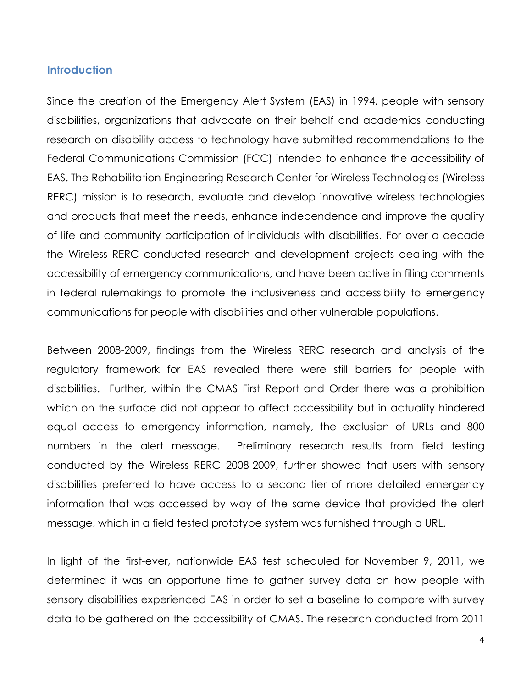### **Introduction**

Since the creation of the Emergency Alert System (EAS) in 1994, people with sensory disabilities, organizations that advocate on their behalf and academics conducting research on disability access to technology have submitted recommendations to the Federal Communications Commission (FCC) intended to enhance the accessibility of EAS. The Rehabilitation Engineering Research Center for Wireless Technologies (Wireless RERC) mission is to research, evaluate and develop innovative wireless technologies and products that meet the needs, enhance independence and improve the quality of life and community participation of individuals with disabilities. For over a decade the Wireless RERC conducted research and development projects dealing with the accessibility of emergency communications, and have been active in filing comments in federal rulemakings to promote the inclusiveness and accessibility to emergency communications for people with disabilities and other vulnerable populations.

Between 2008-2009, findings from the Wireless RERC research and analysis of the regulatory framework for EAS revealed there were still barriers for people with disabilities. Further, within the CMAS First Report and Order there was a prohibition which on the surface did not appear to affect accessibility but in actuality hindered equal access to emergency information, namely, the exclusion of URLs and 800 numbers in the alert message. Preliminary research results from field testing conducted by the Wireless RERC 2008-2009, further showed that users with sensory disabilities preferred to have access to a second tier of more detailed emergency information that was accessed by way of the same device that provided the alert message, which in a field tested prototype system was furnished through a URL.

In light of the first-ever, nationwide EAS test scheduled for November 9, 2011, we determined it was an opportune time to gather survey data on how people with sensory disabilities experienced EAS in order to set a baseline to compare with survey data to be gathered on the accessibility of CMAS. The research conducted from 2011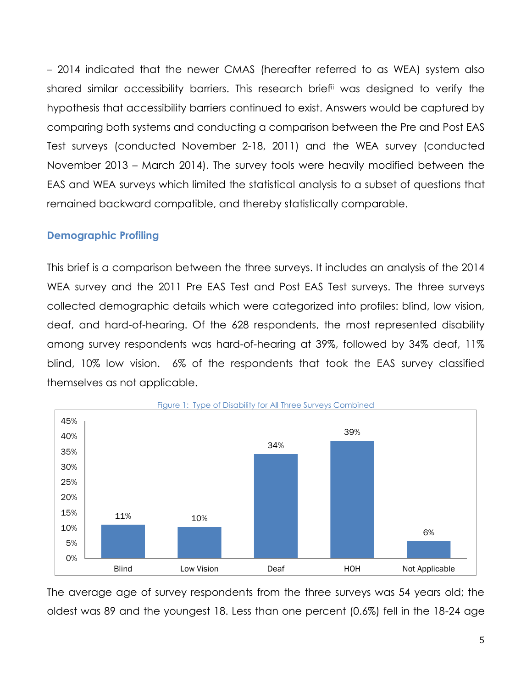– 2014 indicated that the newer CMAS (hereafter referred to as WEA) system also shared similar accessibility barriers. This research briefii was designed to verify the hypothesis that accessibility barriers continued to exist. Answers would be captured by comparing both systems and conducting a comparison between the Pre and Post EAS Test surveys (conducted November 2-18, 2011) and the WEA survey (conducted November 2013 – March 2014). The survey tools were heavily modified between the EAS and WEA surveys which limited the statistical analysis to a subset of questions that remained backward compatible, and thereby statistically comparable.

## **Demographic Profiling**

This brief is a comparison between the three surveys. It includes an analysis of the 2014 WEA survey and the 2011 Pre EAS Test and Post EAS Test surveys. The three surveys collected demographic details which were categorized into profiles: blind, low vision, deaf, and hard-of-hearing. Of the 628 respondents, the most represented disability among survey respondents was hard-of-hearing at 39%, followed by 34% deaf, 11% blind, 10% low vision. 6% of the respondents that took the EAS survey classified themselves as not applicable.



The average age of survey respondents from the three surveys was 54 years old; the oldest was 89 and the youngest 18. Less than one percent (0.6%) fell in the 18-24 age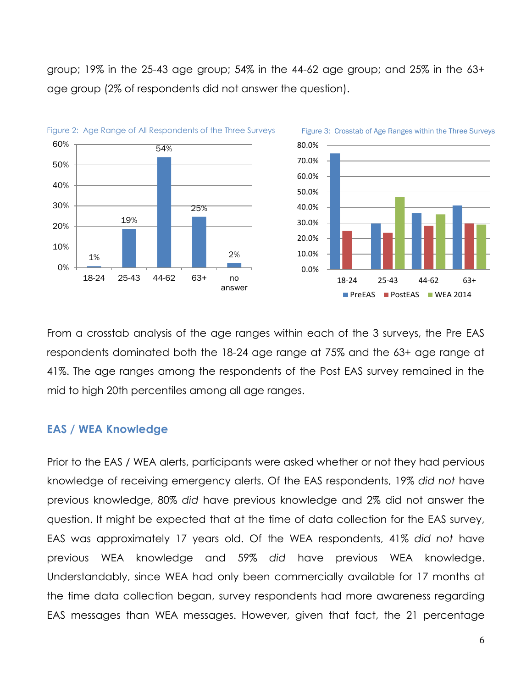group; 19% in the 25-43 age group; 54% in the 44-62 age group; and 25% in the 63+ age group (2% of respondents did not answer the question).





Figure 3: Crosstab of Age Ranges within the Three Surveys

From a crosstab analysis of the age ranges within each of the 3 surveys, the Pre EAS respondents dominated both the 18-24 age range at 75% and the 63+ age range at 41%. The age ranges among the respondents of the Post EAS survey remained in the mid to high 20th percentiles among all age ranges.

#### **EAS / WEA Knowledge**

Prior to the EAS / WEA alerts, participants were asked whether or not they had pervious knowledge of receiving emergency alerts. Of the EAS respondents, 19% *did not* have previous knowledge, 80% *did* have previous knowledge and 2% did not answer the question. It might be expected that at the time of data collection for the EAS survey, EAS was approximately 17 years old. Of the WEA respondents, 41% *did not* have previous WEA knowledge and 59% *did* have previous WEA knowledge. Understandably, since WEA had only been commercially available for 17 months at the time data collection began, survey respondents had more awareness regarding EAS messages than WEA messages. However, given that fact, the 21 percentage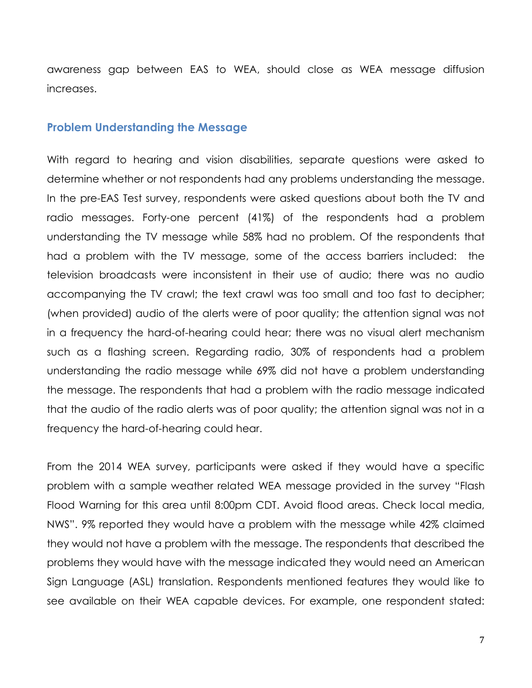awareness gap between EAS to WEA, should close as WEA message diffusion increases.

#### **Problem Understanding the Message**

With regard to hearing and vision disabilities, separate questions were asked to determine whether or not respondents had any problems understanding the message. In the pre-EAS Test survey, respondents were asked questions about both the TV and radio messages. Forty-one percent (41%) of the respondents had a problem understanding the TV message while 58% had no problem. Of the respondents that had a problem with the TV message, some of the access barriers included: the television broadcasts were inconsistent in their use of audio; there was no audio accompanying the TV crawl; the text crawl was too small and too fast to decipher; (when provided) audio of the alerts were of poor quality; the attention signal was not in a frequency the hard-of-hearing could hear; there was no visual alert mechanism such as a flashing screen. Regarding radio, 30% of respondents had a problem understanding the radio message while 69% did not have a problem understanding the message. The respondents that had a problem with the radio message indicated that the audio of the radio alerts was of poor quality; the attention signal was not in a frequency the hard-of-hearing could hear.

From the 2014 WEA survey, participants were asked if they would have a specific problem with a sample weather related WEA message provided in the survey "Flash Flood Warning for this area until 8:00pm CDT. Avoid flood areas. Check local media, NWS". 9% reported they would have a problem with the message while 42% claimed they would not have a problem with the message. The respondents that described the problems they would have with the message indicated they would need an American Sign Language (ASL) translation. Respondents mentioned features they would like to see available on their WEA capable devices. For example, one respondent stated: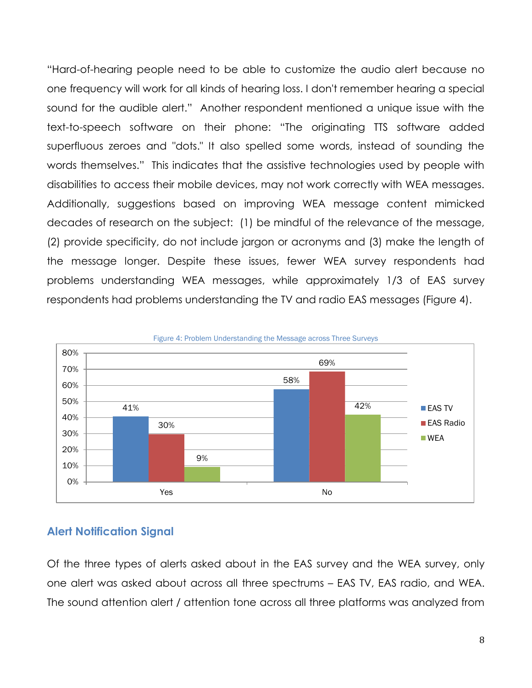"Hard-of-hearing people need to be able to customize the audio alert because no one frequency will work for all kinds of hearing loss. I don't remember hearing a special sound for the audible alert." Another respondent mentioned a unique issue with the text-to-speech software on their phone: "The originating TTS software added superfluous zeroes and "dots." It also spelled some words, instead of sounding the words themselves." This indicates that the assistive technologies used by people with disabilities to access their mobile devices, may not work correctly with WEA messages. Additionally, suggestions based on improving WEA message content mimicked decades of research on the subject: (1) be mindful of the relevance of the message, (2) provide specificity, do not include jargon or acronyms and (3) make the length of the message longer. Despite these issues, fewer WEA survey respondents had problems understanding WEA messages, while approximately 1/3 of EAS survey respondents had problems understanding the TV and radio EAS messages (Figure 4).



## **Alert Notification Signal**

Of the three types of alerts asked about in the EAS survey and the WEA survey, only one alert was asked about across all three spectrums – EAS TV, EAS radio, and WEA. The sound attention alert / attention tone across all three platforms was analyzed from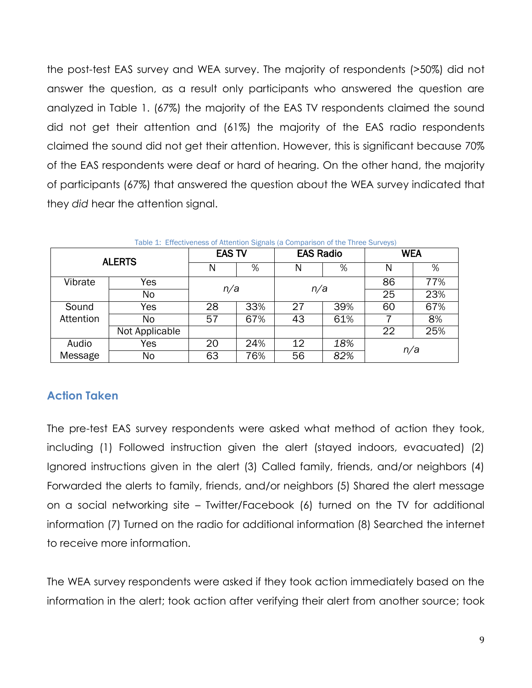the post-test EAS survey and WEA survey. The majority of respondents (>50%) did not answer the question, as a result only participants who answered the question are analyzed in Table 1. (67%) the majority of the EAS TV respondents claimed the sound did not get their attention and (61%) the majority of the EAS radio respondents claimed the sound did not get their attention. However, this is significant because 70% of the EAS respondents were deaf or hard of hearing. On the other hand, the majority of participants (67%) that answered the question about the WEA survey indicated that they *did* hear the attention signal.

| <b>ALERTS</b> |                | <b>EAS TV</b> |     | <b>EAS Radio</b> |     | <b>WEA</b> |     |
|---------------|----------------|---------------|-----|------------------|-----|------------|-----|
|               |                |               | %   | N                | %   | Ν          | %   |
| Vibrate       | Yes            | n/a           |     | n/a              |     | 86         | 77% |
|               | No             |               |     |                  |     | 25         | 23% |
| Sound         | Yes            | 28            | 33% | 27               | 39% | 60         | 67% |
| Attention     | No             | 57            | 67% | 43               | 61% |            | 8%  |
|               | Not Applicable |               |     |                  |     | 22         | 25% |
| Audio         | Yes            | 20            | 24% | 12               | 18% |            |     |
| Message       | No             | 63            | 76% | 56               | 82% | n/a        |     |

Table 1: Effectiveness of Attention Signals (a Comparison of the Three Surveys)

# **Action Taken**

The pre-test EAS survey respondents were asked what method of action they took, including (1) Followed instruction given the alert (stayed indoors, evacuated) (2) Ignored instructions given in the alert (3) Called family, friends, and/or neighbors (4) Forwarded the alerts to family, friends, and/or neighbors (5) Shared the alert message on a social networking site – Twitter/Facebook (6) turned on the TV for additional information (7) Turned on the radio for additional information (8) Searched the internet to receive more information.

The WEA survey respondents were asked if they took action immediately based on the information in the alert; took action after verifying their alert from another source; took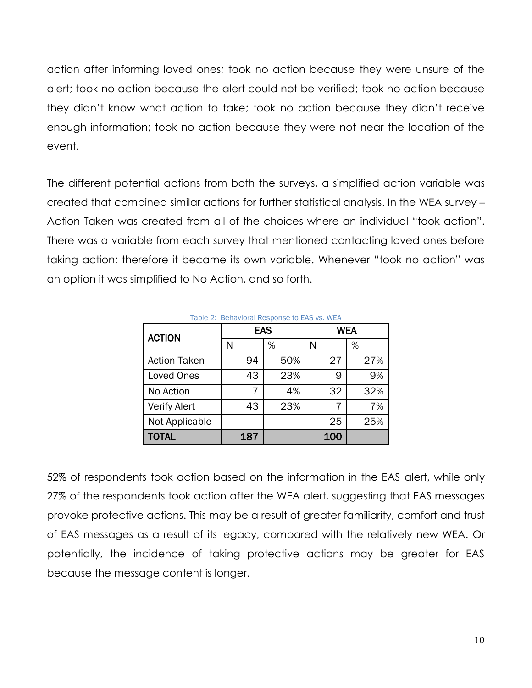action after informing loved ones; took no action because they were unsure of the alert; took no action because the alert could not be verified; took no action because they didn't know what action to take; took no action because they didn't receive enough information; took no action because they were not near the location of the event.

The different potential actions from both the surveys, a simplified action variable was created that combined similar actions for further statistical analysis. In the WEA survey – Action Taken was created from all of the choices where an individual "took action". There was a variable from each survey that mentioned contacting loved ones before taking action; therefore it became its own variable. Whenever "took no action" was an option it was simplified to No Action, and so forth.

| Table 2: Behavioral Response to EAS vs. WEA |     |     |            |     |  |  |  |  |  |
|---------------------------------------------|-----|-----|------------|-----|--|--|--|--|--|
| <b>ACTION</b>                               |     | EAS | <b>WEA</b> |     |  |  |  |  |  |
|                                             | N   | %   | N          | %   |  |  |  |  |  |
| <b>Action Taken</b>                         | 94  | 50% | 27         | 27% |  |  |  |  |  |
| Loved Ones                                  | 43  | 23% | 9          | 9%  |  |  |  |  |  |
| No Action                                   | 7   | 4%  | 32         | 32% |  |  |  |  |  |
| <b>Verify Alert</b>                         | 43  | 23% |            | 7%  |  |  |  |  |  |
| Not Applicable                              |     |     | 25         | 25% |  |  |  |  |  |
| <b>TOTAL</b>                                | 187 |     | 100        |     |  |  |  |  |  |

52% of respondents took action based on the information in the EAS alert, while only 27% of the respondents took action after the WEA alert, suggesting that EAS messages provoke protective actions. This may be a result of greater familiarity, comfort and trust of EAS messages as a result of its legacy, compared with the relatively new WEA. Or potentially, the incidence of taking protective actions may be greater for EAS because the message content is longer.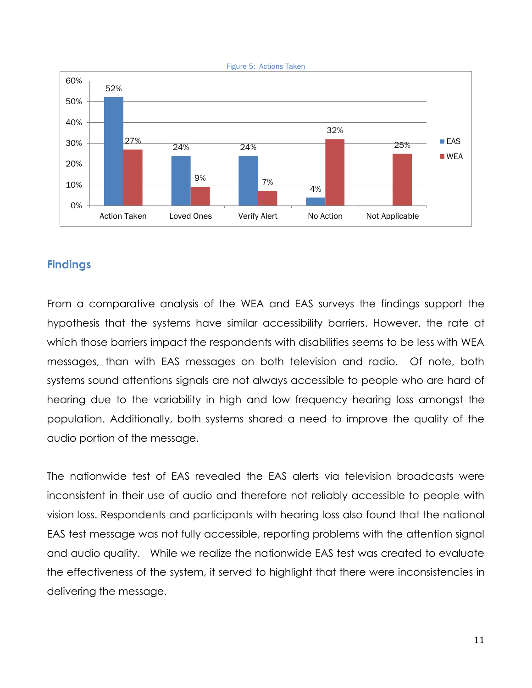

# **Findings**

From a comparative analysis of the WEA and EAS surveys the findings support the hypothesis that the systems have similar accessibility barriers. However, the rate at which those barriers impact the respondents with disabilities seems to be less with WEA messages, than with EAS messages on both television and radio. Of note, both systems sound attentions signals are not always accessible to people who are hard of hearing due to the variability in high and low frequency hearing loss amongst the population. Additionally, both systems shared a need to improve the quality of the audio portion of the message.

The nationwide test of EAS revealed the EAS alerts via television broadcasts were inconsistent in their use of audio and therefore not reliably accessible to people with vision loss. Respondents and participants with hearing loss also found that the national EAS test message was not fully accessible, reporting problems with the attention signal and audio quality. While we realize the nationwide EAS test was created to evaluate the effectiveness of the system, it served to highlight that there were inconsistencies in delivering the message.